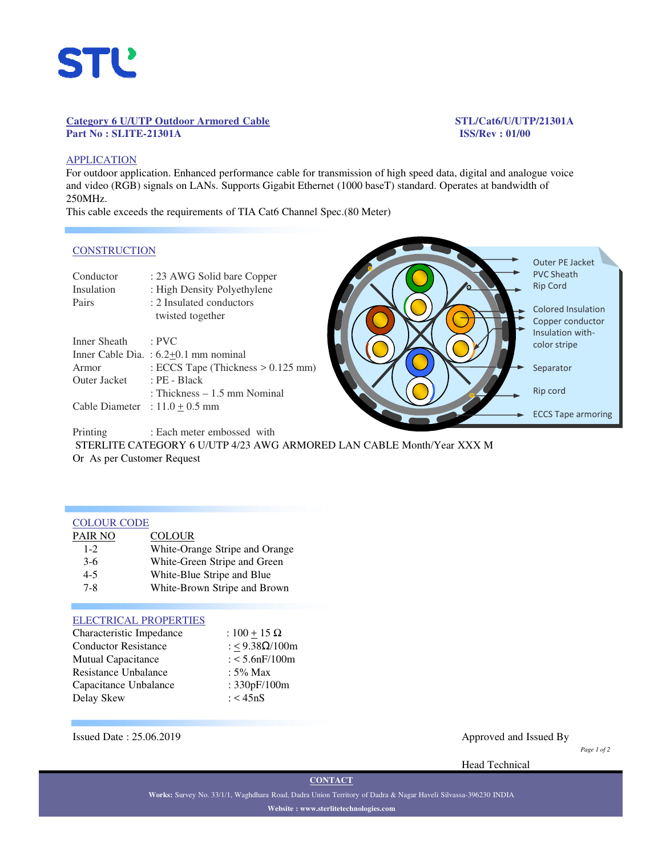

### **Category 6 U/UTP Outdoor Armored Cable STL/Cat6/U/UTP/21301A Part No : SLITE-21301A ISS/Rev : 01/00**

# APPLICATION

For outdoor application. Enhanced performance cable for transmission of high speed data, digital and analogue voice and video (RGB) signals on LANs. Supports Gigabit Ethernet (1000 baseT) standard. Operates at bandwidth of 250MHz.

This cable exceeds the requirements of TIA Cat6 Channel Spec.(80 Meter)

### **CONSTRUCTION**



Printing : Each meter embossed with

STERLITE CATEGORY 6 U/UTP 4/23 AWG ARMORED LAN CABLE Month/Year XXX M Or As per Customer Request

#### COLOUR CODE

| PAIR NO | <b>COLOUR</b>                  |
|---------|--------------------------------|
| $1 - 2$ | White-Orange Stripe and Orange |
| $3-6$   | White-Green Stripe and Green   |
| $4 - 5$ | White-Blue Stripe and Blue     |
| $7 - 8$ | White-Brown Stripe and Brown   |
|         |                                |

### ELECTRICAL PROPERTIES

| Characteristic Impedance    | : $100 + 15 \Omega$   |
|-----------------------------|-----------------------|
| <b>Conductor Resistance</b> | : < $9.38\Omega/100m$ |
| <b>Mutual Capacitance</b>   | : $<$ 5.6nF/100m      |
| Resistance Unbalance        | : $5\%$ Max           |
| Capacitance Unbalance       | : 330pF/100m          |
| Delay Skew                  | : $<$ 45nS            |

Issued Date : 25.06.2019 Approved and Issued By

Head Technical

**Works:** Survey No. 33/1/1, Waghdhara Road, Dadra Union Territory of Dadra & Nagar Haveli Silvassa-396230 INDIA **Website : www.sterlitetechnologies.com**